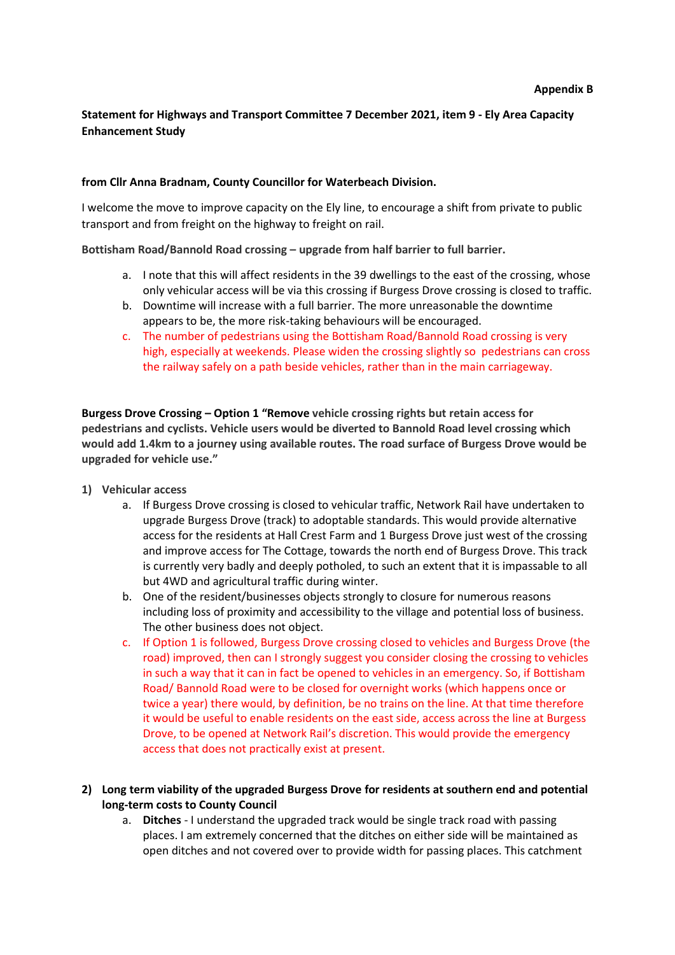## **Statement for Highways and Transport Committee 7 December 2021, item 9 - Ely Area Capacity Enhancement Study**

## **from Cllr Anna Bradnam, County Councillor for Waterbeach Division.**

I welcome the move to improve capacity on the Ely line, to encourage a shift from private to public transport and from freight on the highway to freight on rail.

**Bottisham Road/Bannold Road crossing – upgrade from half barrier to full barrier.** 

- a. I note that this will affect residents in the 39 dwellings to the east of the crossing, whose only vehicular access will be via this crossing if Burgess Drove crossing is closed to traffic.
- b. Downtime will increase with a full barrier. The more unreasonable the downtime appears to be, the more risk-taking behaviours will be encouraged.
- c. The number of pedestrians using the Bottisham Road/Bannold Road crossing is very high, especially at weekends. Please widen the crossing slightly so pedestrians can cross the railway safely on a path beside vehicles, rather than in the main carriageway.

**Burgess Drove Crossing – Option 1 "Remove vehicle crossing rights but retain access for pedestrians and cyclists. Vehicle users would be diverted to Bannold Road level crossing which would add 1.4km to a journey using available routes. The road surface of Burgess Drove would be upgraded for vehicle use."**

- **1) Vehicular access**
	- a. If Burgess Drove crossing is closed to vehicular traffic, Network Rail have undertaken to upgrade Burgess Drove (track) to adoptable standards. This would provide alternative access for the residents at Hall Crest Farm and 1 Burgess Drove just west of the crossing and improve access for The Cottage, towards the north end of Burgess Drove. This track is currently very badly and deeply potholed, to such an extent that it is impassable to all but 4WD and agricultural traffic during winter.
	- b. One of the resident/businesses objects strongly to closure for numerous reasons including loss of proximity and accessibility to the village and potential loss of business. The other business does not object.
	- c. If Option 1 is followed, Burgess Drove crossing closed to vehicles and Burgess Drove (the road) improved, then can I strongly suggest you consider closing the crossing to vehicles in such a way that it can in fact be opened to vehicles in an emergency. So, if Bottisham Road/ Bannold Road were to be closed for overnight works (which happens once or twice a year) there would, by definition, be no trains on the line. At that time therefore it would be useful to enable residents on the east side, access across the line at Burgess Drove, to be opened at Network Rail's discretion. This would provide the emergency access that does not practically exist at present.

## **2) Long term viability of the upgraded Burgess Drove for residents at southern end and potential long-term costs to County Council**

a. **Ditches** - I understand the upgraded track would be single track road with passing places. I am extremely concerned that the ditches on either side will be maintained as open ditches and not covered over to provide width for passing places. This catchment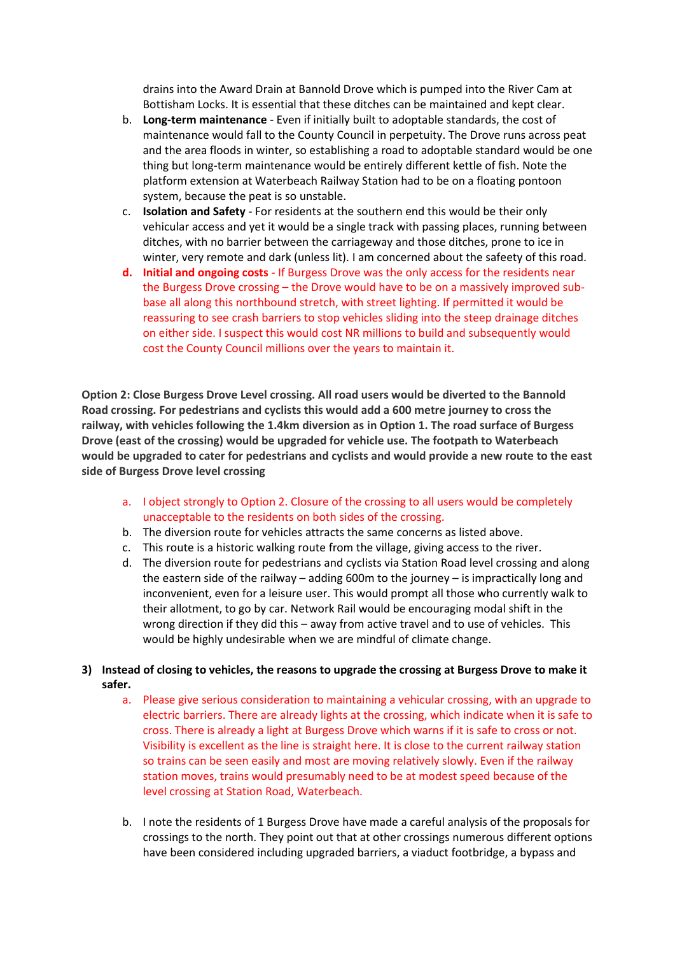drains into the Award Drain at Bannold Drove which is pumped into the River Cam at Bottisham Locks. It is essential that these ditches can be maintained and kept clear.

- b. **Long-term maintenance** Even if initially built to adoptable standards, the cost of maintenance would fall to the County Council in perpetuity. The Drove runs across peat and the area floods in winter, so establishing a road to adoptable standard would be one thing but long-term maintenance would be entirely different kettle of fish. Note the platform extension at Waterbeach Railway Station had to be on a floating pontoon system, because the peat is so unstable.
- c. **Isolation and Safety** For residents at the southern end this would be their only vehicular access and yet it would be a single track with passing places, running between ditches, with no barrier between the carriageway and those ditches, prone to ice in winter, very remote and dark (unless lit). I am concerned about the safeety of this road.
- **d. Initial and ongoing costs** If Burgess Drove was the only access for the residents near the Burgess Drove crossing – the Drove would have to be on a massively improved subbase all along this northbound stretch, with street lighting. If permitted it would be reassuring to see crash barriers to stop vehicles sliding into the steep drainage ditches on either side. I suspect this would cost NR millions to build and subsequently would cost the County Council millions over the years to maintain it.

**Option 2: Close Burgess Drove Level crossing. All road users would be diverted to the Bannold Road crossing. For pedestrians and cyclists this would add a 600 metre journey to cross the railway, with vehicles following the 1.4km diversion as in Option 1. The road surface of Burgess Drove (east of the crossing) would be upgraded for vehicle use. The footpath to Waterbeach would be upgraded to cater for pedestrians and cyclists and would provide a new route to the east side of Burgess Drove level crossing**

- a. I object strongly to Option 2. Closure of the crossing to all users would be completely unacceptable to the residents on both sides of the crossing.
- b. The diversion route for vehicles attracts the same concerns as listed above.
- c. This route is a historic walking route from the village, giving access to the river.
- d. The diversion route for pedestrians and cyclists via Station Road level crossing and along the eastern side of the railway – adding 600m to the journey – is impractically long and inconvenient, even for a leisure user. This would prompt all those who currently walk to their allotment, to go by car. Network Rail would be encouraging modal shift in the wrong direction if they did this – away from active travel and to use of vehicles. This would be highly undesirable when we are mindful of climate change.
- **3) Instead of closing to vehicles, the reasons to upgrade the crossing at Burgess Drove to make it safer.**
	- a. Please give serious consideration to maintaining a vehicular crossing, with an upgrade to electric barriers. There are already lights at the crossing, which indicate when it is safe to cross. There is already a light at Burgess Drove which warns if it is safe to cross or not. Visibility is excellent as the line is straight here. It is close to the current railway station so trains can be seen easily and most are moving relatively slowly. Even if the railway station moves, trains would presumably need to be at modest speed because of the level crossing at Station Road, Waterbeach.
	- b. I note the residents of 1 Burgess Drove have made a careful analysis of the proposals for crossings to the north. They point out that at other crossings numerous different options have been considered including upgraded barriers, a viaduct footbridge, a bypass and